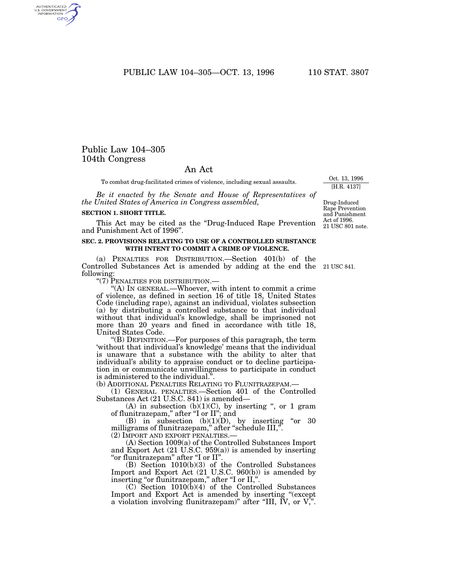PUBLIC LAW 104-305-OCT. 13, 1996 110 STAT. 3807

# Public Law 104–305 104th Congress

AUTHENTICATED<br>U.S. GOVERNMENT<br>INFORMATION **GPO** 

## An Act

To combat drug-facilitated crimes of violence, including sexual assaults.

*Be it enacted by the Senate and House of Representatives of the United States of America in Congress assembled,*

#### **SECTION 1. SHORT TITLE.**

This Act may be cited as the ''Drug-Induced Rape Prevention and Punishment Act of 1996''.

### **SEC. 2. PROVISIONS RELATING TO USE OF A CONTROLLED SUBSTANCE WITH INTENT TO COMMIT A CRIME OF VIOLENCE.**

(a) PENALTIES FOR DISTRIBUTION.—Section 401(b) of the Controlled Substances Act is amended by adding at the end the 21 USC 841. following:

''(7) PENALTIES FOR DISTRIBUTION.—

"(A) IN GENERAL.—Whoever, with intent to commit a crime of violence, as defined in section 16 of title 18, United States Code (including rape), against an individual, violates subsection (a) by distributing a controlled substance to that individual without that individual's knowledge, shall be imprisoned not more than 20 years and fined in accordance with title 18, United States Code.

''(B) DEFINITION.—For purposes of this paragraph, the term 'without that individual's knowledge' means that the individual is unaware that a substance with the ability to alter that individual's ability to appraise conduct or to decline participation in or communicate unwillingness to participate in conduct is administered to the individual.''.

(b) ADDITIONAL PENALTIES RELATING TO FLUNITRAZEPAM.—

(1) GENERAL PENALTIES.—Section 401 of the Controlled Substances Act (21 U.S.C. 841) is amended—

(A) in subsection  $(b)(1)(C)$ , by inserting ", or 1 gram of flunitrazepam,'' after ''I or II''; and

(B) in subsection  $(b)(1)(D)$ , by inserting "or 30 milligrams of flunitrazepam,'' after ''schedule III,''.

(2) IMPORT AND EXPORT PENALTIES.—

(A) Section 1009(a) of the Controlled Substances Import and Export Act (21 U.S.C. 959(a)) is amended by inserting ''or flunitrazepam'' after ''I or II''.

(B) Section 1010(b)(3) of the Controlled Substances Import and Export Act (21 U.S.C. 960(b)) is amended by inserting "or flunitrazepam," after "I or II,".

(C) Section 1010(b)(4) of the Controlled Substances Import and Export Act is amended by inserting ''(except a violation involving flunitrazepam)'' after ''III, IV, or V,''.

Oct. 13, 1996 [H.R. 4137]

Drug-Induced Rape Prevention and Punishment

21 USC 801 note.

Act of 1996.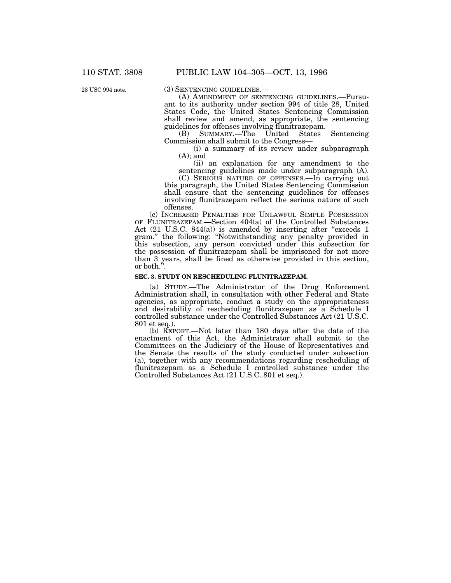28 USC 994 note.

(3) SENTENCING GUIDELINES.— (A) AMENDMENT OF SENTENCING GUIDELINES.—Pursuant to its authority under section 994 of title 28, United States Code, the United States Sentencing Commission shall review and amend, as appropriate, the sentencing guidelines for offenses involving flunitrazepam.<br>
(B) SUMMARY.—The United States Sentencing

 $(B)$  SUMMARY.—The United Commission shall submit to the Congress—

(i) a summary of its review under subparagraph  $(A)$ ; and

(ii) an explanation for any amendment to the sentencing guidelines made under subparagraph (A).

(C) SERIOUS NATURE OF OFFENSES.—In carrying out this paragraph, the United States Sentencing Commission shall ensure that the sentencing guidelines for offenses involving flunitrazepam reflect the serious nature of such offenses.

(c) INCREASED PENALTIES FOR UNLAWFUL SIMPLE POSSESSION OF FLUNITRAZEPAM.—Section 404(a) of the Controlled Substances Act (21 U.S.C. 844(a)) is amended by inserting after "exceeds 1 gram.'' the following: ''Notwithstanding any penalty provided in this subsection, any person convicted under this subsection for the possession of flunitrazepam shall be imprisoned for not more than 3 years, shall be fined as otherwise provided in this section, or both.''.

## **SEC. 3. STUDY ON RESCHEDULING FLUNITRAZEPAM.**

(a) STUDY.—The Administrator of the Drug Enforcement Administration shall, in consultation with other Federal and State agencies, as appropriate, conduct a study on the appropriateness and desirability of rescheduling flunitrazepam as a Schedule I controlled substance under the Controlled Substances Act (21 U.S.C. 801 et seq.).

(b) REPORT.—Not later than 180 days after the date of the enactment of this Act, the Administrator shall submit to the Committees on the Judiciary of the House of Representatives and the Senate the results of the study conducted under subsection (a), together with any recommendations regarding rescheduling of flunitrazepam as a Schedule I controlled substance under the Controlled Substances Act (21 U.S.C. 801 et seq.).